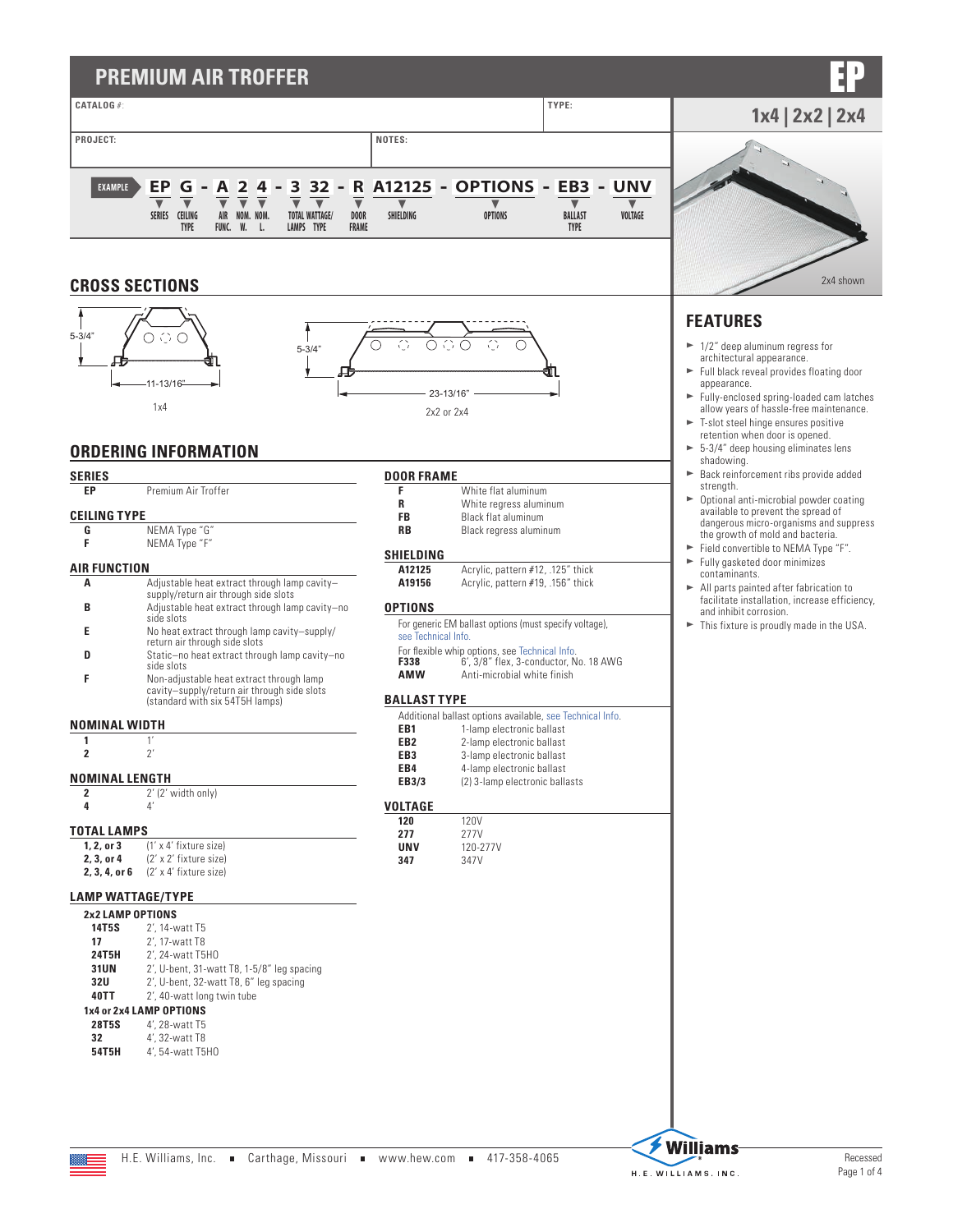# **PREMIUM AIR TROFFER**



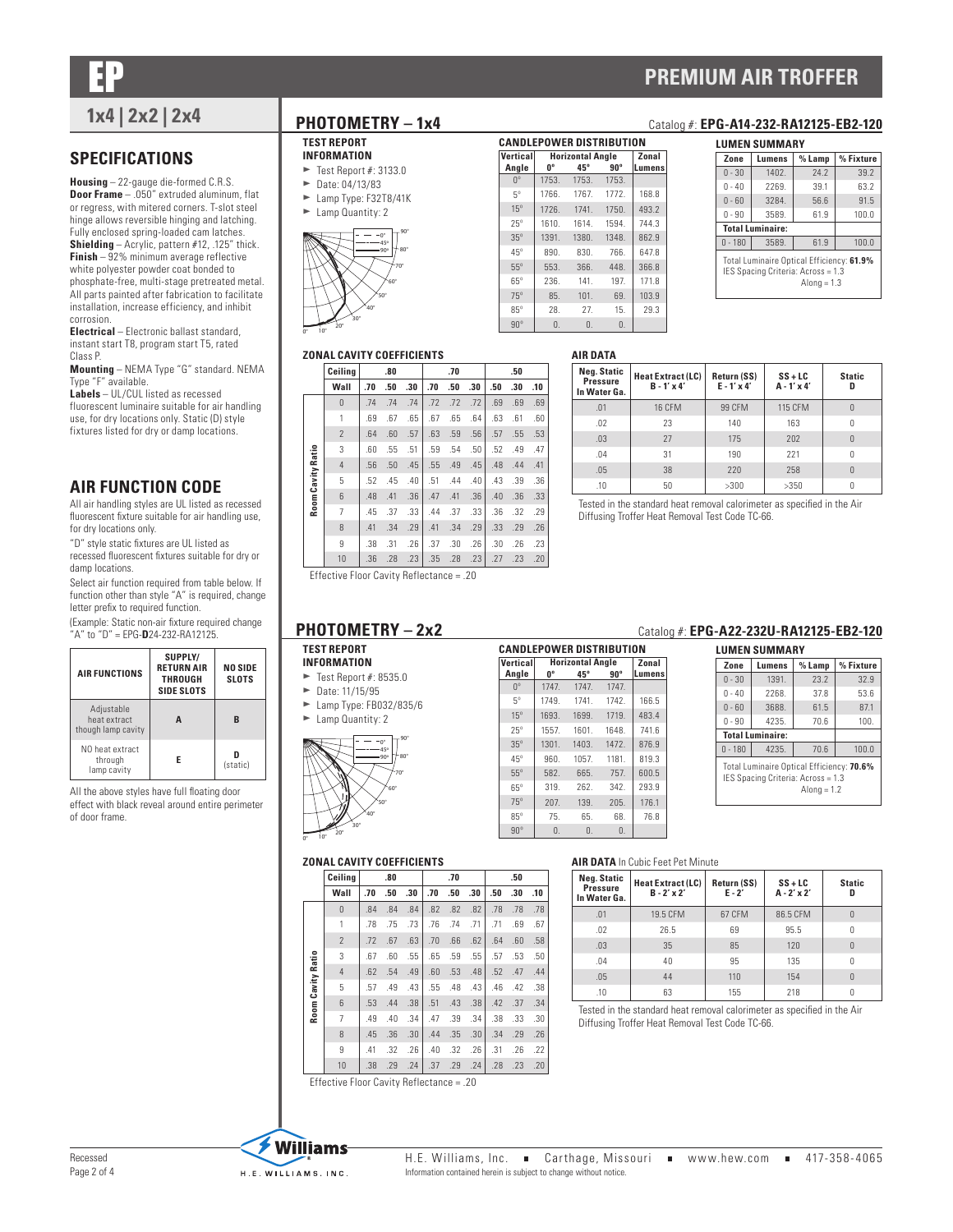EP **PREMIUM AIR TROFFER**

## **SPECIFICATIONS**

**Housing** – 22-gauge die-formed C.R.S. **Door Frame** – .050" extruded aluminum, flat or regress, with mitered corners. T-slot steel hinge allows reversible hinging and latching. Fully enclosed spring-loaded cam latches. **Shielding** – Acrylic, pattern #12, .125" thick. **Finish** – 92% minimum average reflective white polyester powder coat bonded to phosphate-free, multi-stage pretreated metal.

All parts painted after fabrication to facilitate installation, increase efficiency, and inhibit corrosion.

**Electrical** – Electronic ballast standard, instant start T8, program start T5, rated Class P.

**Mounting** – NEMA Type "G" standard. NEMA Type "F" available.

**Labels** – UL/CUL listed as recessed fluorescent luminaire suitable for air handling use, for dry locations only. Static (D) style fixtures listed for dry or damp locations.

## **AIR FUNCTION CODE**

All air handling styles are UL listed as recessed fluorescent fixture suitable for air handling use, for dry locations only.

"D" style static fixtures are UL listed as recessed fluorescent fixtures suitable for dry or damp locations.

Select air function required from table below. If function other than style "A" is required, change letter prefix to required function.

(Example: Static non-air fixture required change "A" to "D" = EPG-**D**24-232-RA12125.

| <b>AIR FUNCTIONS</b>                             | SUPPLY/<br><b>RETURN AIR</b><br><b>THROUGH</b><br>SIDE SLOTS | <b>NO SIDE</b><br><b>SLOTS</b> |
|--------------------------------------------------|--------------------------------------------------------------|--------------------------------|
| Adjustable<br>heat extract<br>though lamp cavity | A                                                            | R                              |
| NO heat extract<br>through<br>lamp cavity        | F                                                            | (static)                       |

All the above styles have full floating door effect with black reveal around entire perimeter of door frame.

#### **TEST REPORT INFORMATION**

- $\blacktriangleright$  Test Report #: 3133.0
- $\blacktriangleright$  Date: 04/13/83
- $\blacktriangleright$  Lamp Type: F32T8/41K
- $\blacktriangleright$  Lamp Quantity: 2



#### **CANDLEPOWER DISTRIBUTION Vertical Angle Horizontal Angle Zonal**<br>  $0^\circ$  45° 90° **Lumen 0º 45º 90º Lumens** 0<sup>°</sup> 1753. 1753. 1753. 5º 1766. 1767. 1772. 168.8 15º 1726. 1741. 1750. 493.2 25º 1610. 1614. 1594. 744.3 35º 1391. 1380. 1348. 862.9 45º 890. 830. 766. 647.8 55º 553. 366. 448. 366.8 65º 236. 141. 197. 171.8 75º 85. 101. 69. 103.9 85º 28. 27. 15. 29.3 90º 0. 0. 0.

**AIR DATA**

## **1x4 | 2x2 | 2x4 PHOTOMETRY – 1x4** Catalog #: **EPG-A14-232-RA12125-EB2-120**

| LUMEN SUMMARY                                                                                    |        |        |           |  |  |  |  |  |  |
|--------------------------------------------------------------------------------------------------|--------|--------|-----------|--|--|--|--|--|--|
| Zone                                                                                             | Lumens | % Lamp | % Fixture |  |  |  |  |  |  |
| $0 - 30$                                                                                         | 1402.  | 74.7   | 39.2      |  |  |  |  |  |  |
| $0 - 40$                                                                                         | 2269.  | 39.1   | 63.2      |  |  |  |  |  |  |
| $0 - 60$                                                                                         | 3284   | 56.6   | 91.5      |  |  |  |  |  |  |
| $0 - 90$                                                                                         | 3589.  | 61.9   | 100.0     |  |  |  |  |  |  |
| <b>Total Luminaire:</b>                                                                          |        |        |           |  |  |  |  |  |  |
| $0 - 180$                                                                                        | 3589   | 61.9   | 100.0     |  |  |  |  |  |  |
| Total Luminaire Optical Efficiency: 61.9%<br>IES Spacing Criteria: Across = 1.3<br>Along $= 1.3$ |        |        |           |  |  |  |  |  |  |

### **ZONAL CAVITY COEFFICIENTS**

|                   | Ceiling        |     | .80 |     |     | .70 |     |     | .50 |     |
|-------------------|----------------|-----|-----|-----|-----|-----|-----|-----|-----|-----|
|                   | Wall           | .70 | .50 | .30 | .70 | .50 | .30 | .50 | .30 | .10 |
|                   | $\theta$       | .74 | .74 | .74 | .72 | .72 | .72 | .69 | .69 | .69 |
|                   | 1              | .69 | .67 | .65 | .67 | .65 | .64 | .63 | .61 | .60 |
|                   | $\overline{2}$ | .64 | .60 | .57 | .63 | .59 | .56 | .57 | .55 | .53 |
|                   | 3              | .60 | .55 | .51 | .59 | .54 | .50 | .52 | .49 | .47 |
|                   | $\overline{4}$ | .56 | .50 | .45 | .55 | .49 | .45 | .48 | .44 | .41 |
|                   | 5              | .52 | .45 | .40 | .51 | .44 | .40 | .43 | .39 | .36 |
| Room Cavity Ratio | 6              | .48 | .41 | .36 | .47 | .41 | .36 | .40 | .36 | .33 |
|                   | 7              | .45 | .37 | .33 | .44 | .37 | .33 | .36 | .32 | .29 |
|                   | 8              | .41 | .34 | .29 | .41 | .34 | .29 | .33 | .29 | .26 |
|                   | 9              | .38 | .31 | .26 | .37 | .30 | .26 | .30 | .26 | .23 |
|                   | 10             | .36 | .28 | .23 | .35 | .28 | .23 | .27 | .23 | .20 |

| AIN VAIA                                       |                                                |                                   |                                 |               |
|------------------------------------------------|------------------------------------------------|-----------------------------------|---------------------------------|---------------|
| <b>Neg. Static</b><br>Pressure<br>In Water Ga. | <b>Heat Extract (LC)</b><br>$B - 1' \times 4'$ | Return (SS)<br>$E - 1' \times 4'$ | $SS + LC$<br>$A - 1' \times 4'$ | <b>Static</b> |
| .01                                            | <b>16 CFM</b>                                  | 99 CFM                            | <b>115 CFM</b>                  |               |
| .02                                            | 23                                             | 140                               | 163                             |               |
| .03                                            | 27                                             | 175                               | 202                             |               |
| .04                                            | 31                                             | 190                               | 221                             |               |
| .05                                            | 38                                             | 220                               | 258                             |               |
| .10                                            | 50                                             | >300                              | >350                            |               |

Tested in the standard heat removal calorimeter as specified in the Air Diffusing Troffer Heat Removal Test Code TC-66.

Effective Floor Cavity Reflectance = .20

#### **TEST REPORT INFORMATION**

- 
- Test Report #: 8535.0<br> $\blacktriangleright$  Date: 11/15/95 Date: 11/15/95
- $\blacktriangleright$  Lamp Type: FB032/835/6
- ► Lamp Quantity: 2



#### **CANDLEPOWER DISTRIBUTION Vertical Angle Horizontal Angle Zonal 0º 45º 90º Lumens** 0<sup>°</sup> 1747. 1747. 1747. 5º 1749. 1741. 1742. 166.5 15º 1693. 1699. 1719. 483.4 25º 1557. 1601. 1648. 741.6 35º 1301. 1403. 1472. 876.9 45º 960. 1057. 1181. 819.3 55º 582. 665. 757. 600.5 65º 319. 262. 342. 293.9 75º 207. 139. 205. 176.1 85º 75. 65. 68. 76.8 90º 0. 0. 0.

## **PHOTOMETRY - 2x2** Catalog #: **EPG-A22-232U-RA12125-EB2-120**

| Zone                                                                                             | Lumens                  | % Lamp | % Fixture |  |  |  |  |  |
|--------------------------------------------------------------------------------------------------|-------------------------|--------|-----------|--|--|--|--|--|
| $0 - 30$                                                                                         | 1391.                   | 23.2   | 32.9      |  |  |  |  |  |
| $0 - 40$                                                                                         | 2268.                   | 37.8   | 53.6      |  |  |  |  |  |
| $0 - 60$                                                                                         | 3688.                   | 61.5   | 87.1      |  |  |  |  |  |
| $0 - 90$                                                                                         | 70.6<br>4235.           |        | 100.      |  |  |  |  |  |
|                                                                                                  | <b>Total Luminaire:</b> |        |           |  |  |  |  |  |
| $0 - 180$                                                                                        | 4235.                   | 70.6   | 100.0     |  |  |  |  |  |
| Total Luminaire Optical Efficiency: 70.6%<br>IES Spacing Criteria: Across = 1.3<br>Along $= 1.2$ |                         |        |           |  |  |  |  |  |

### **ZONAL CAVITY COEFFICIENTS**

|                   | Ceilina        |     | .80 |     |     | .70 |     |     | .50 |     |
|-------------------|----------------|-----|-----|-----|-----|-----|-----|-----|-----|-----|
|                   | Wall           | .70 | .50 | .30 | .70 | .50 | .30 | .50 | .30 | .10 |
|                   | $\theta$       | .84 | .84 | .84 | .82 | .82 | .82 | .78 | .78 | .78 |
|                   | 1              | .78 | .75 | .73 | .76 | .74 | .71 | .71 | .69 | .67 |
|                   | $\overline{2}$ | .72 | .67 | .63 | .70 | .66 | .62 | .64 | .60 | .58 |
|                   | 3              | .67 | .60 | .55 | .65 | .59 | .55 | .57 | .53 | .50 |
| Room Cavity Ratio | $\overline{4}$ | .62 | .54 | .49 | .60 | .53 | .48 | .52 | .47 | .44 |
|                   | 5              | .57 | .49 | .43 | .55 | .48 | .43 | .46 | .42 | .38 |
|                   | 6              | .53 | .44 | .38 | .51 | .43 | .38 | .42 | .37 | .34 |
|                   | $\overline{7}$ | .49 | .40 | .34 | .47 | .39 | .34 | .38 | .33 | .30 |
|                   | 8              | .45 | .36 | .30 | .44 | .35 | .30 | .34 | .29 | .26 |
|                   | 9              | .41 | .32 | .26 | .40 | .32 | .26 | .31 | .26 | .22 |
|                   | 10             | .38 | .29 | .24 | .37 | .29 | .24 | .28 | .23 | .20 |

### **AIR DATA** In Cubic Feet Pet Minute

| <b>Neg. Static</b><br><b>Pressure</b><br>In Water Ga. | Heat Extract (LC)<br>$B - 2' \times 2'$ | Return (SS)<br>$E - 2'$ | $SS + LC$<br>$A - 2' \times 2'$ | <b>Static</b> |
|-------------------------------------------------------|-----------------------------------------|-------------------------|---------------------------------|---------------|
| .01                                                   | 19.5 CFM                                | 67 CFM                  | 86.5 CFM                        |               |
| .02                                                   | 26.5                                    | 69                      | 95.5                            | 0             |
| .03                                                   | 35                                      | 85                      | 120                             | $\Omega$      |
| .04                                                   | 40                                      | 95                      | 135                             | 0             |
| .05                                                   | 44                                      | 110                     | 154                             | $\Omega$      |
| .10                                                   | 63                                      | 155                     | 218                             |               |

Tested in the standard heat removal calorimeter as specified in the Air Diffusing Troffer Heat Removal Test Code TC-66.

Effective Floor Cavity Reflectance = .20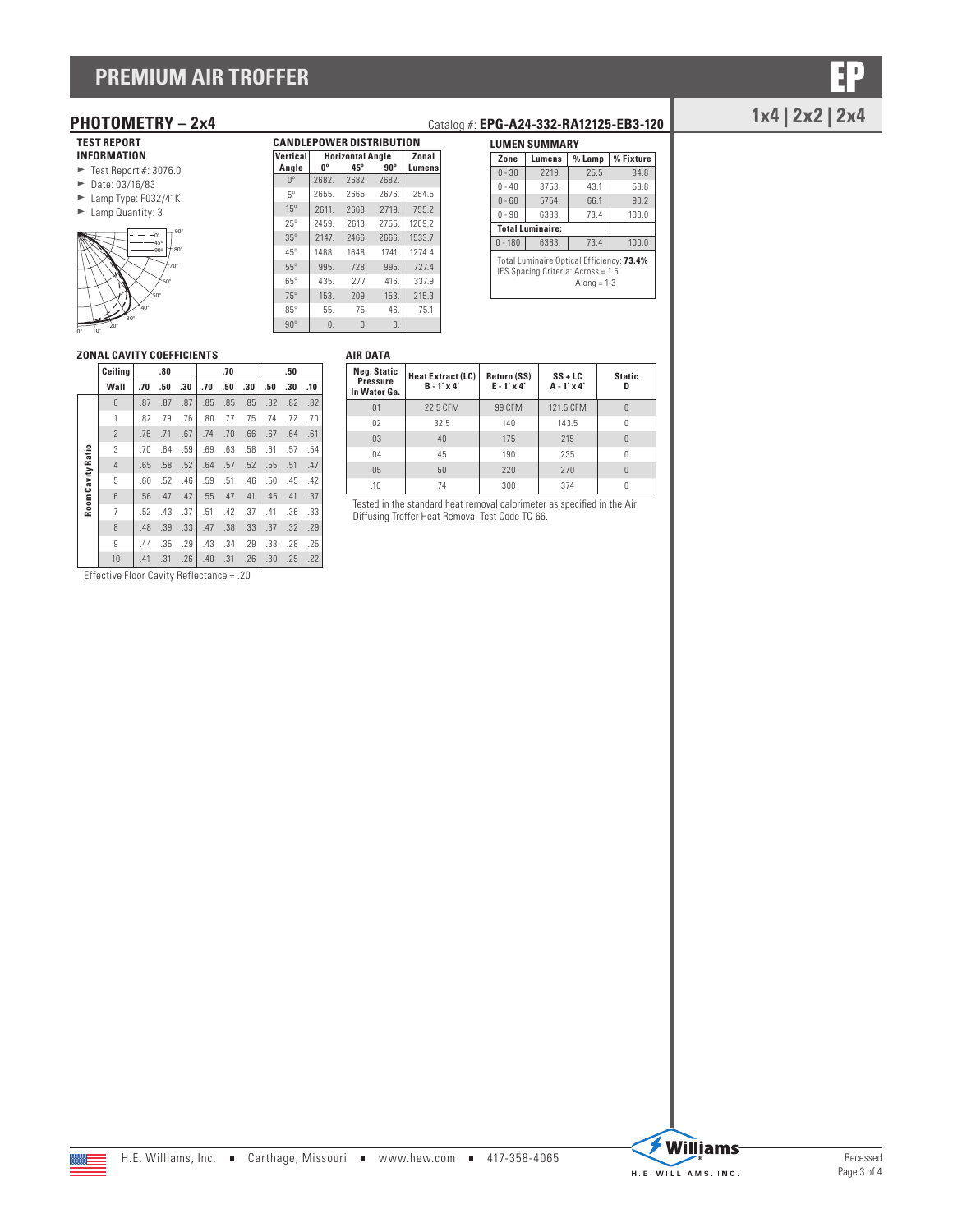# **PREMIUM AIR TROFFER**

## **TEST REPORT**

**INFORMATION**

- $\blacktriangleright$  Test Report #: 3076.0
- $\blacktriangleright$  Date: 03/16/83  $\blacktriangleright$  Lamp Type: F032/41K
- $\blacktriangleright$  Lamp Quantity: 3



| Angle       | U <sub>o</sub> | $45^\circ$     | $90^\circ$ | Lumens |
|-------------|----------------|----------------|------------|--------|
| $0^{\circ}$ | 2682.          | 2682           | 2682.      |        |
| $5^{\circ}$ | 2655.          | 2665.          | 2676.      | 254.5  |
| $15^\circ$  | 2611.          | 2663.          | 2719.      | 755.2  |
| $25^\circ$  | 2459.          | 2613.          | 2755.      | 1209.2 |
| $35^\circ$  | 2147.          | 2466.          | 2666.      | 1533.7 |
| $45^\circ$  | 1488.          | 1648.          | 1741.      | 1274.4 |
| $55^\circ$  | 995.           | 728.           | 995.       | 727.4  |
| $65^\circ$  | 435.           | 277.           | 416.       | 337.9  |
| $75^\circ$  | 153.           | 209.           | 153.       | 215.3  |
| $85^\circ$  | 55.            | 75.            | 46.        | 75.1   |
| $90^\circ$  | $\Omega$ .     | $\mathbf{0}$ . | $\Omega$ . |        |

**CANDLEPOWER DISTRIBUTION Vertical Horizontal Angle Zonal**

| Zone                                                                                             | Lumens                  | $%$ Lamp | % Fixture |  |  |  |  |  |
|--------------------------------------------------------------------------------------------------|-------------------------|----------|-----------|--|--|--|--|--|
| $0 - 30$                                                                                         | 2219.                   | 25.5     | 34.8      |  |  |  |  |  |
| $0 - 40$                                                                                         | 3753.                   | 43.1     | 58.8      |  |  |  |  |  |
| $0 - 60$                                                                                         | 5754.                   | 66.1     | 90.2      |  |  |  |  |  |
| $0 - 90$                                                                                         | 6383.                   | 73.4     | 100.0     |  |  |  |  |  |
|                                                                                                  | <b>Total Luminaire:</b> |          |           |  |  |  |  |  |
| $0 - 180$                                                                                        | 6383.                   | 73.4     | 100.0     |  |  |  |  |  |
| Total Luminaire Optical Efficiency: 73.4%<br>IES Spacing Criteria: Across = 1.5<br>Along $= 1.3$ |                         |          |           |  |  |  |  |  |

### **ZONAL CAVITY COEFFICIENTS**

|                   | Ceilina        |     | .80 |     |     | .70 |     |     | .50 |     |
|-------------------|----------------|-----|-----|-----|-----|-----|-----|-----|-----|-----|
|                   | Wall           | .70 | .50 | .30 | .70 | .50 | .30 | .50 | .30 | .10 |
|                   | $\theta$       | .87 | .87 | .87 | .85 | .85 | .85 | .82 | .82 | .82 |
|                   | 1              | .82 | .79 | .76 | .80 | .77 | .75 | .74 | .72 | .70 |
|                   | $\overline{2}$ | .76 | .71 | .67 | .74 | .70 | .66 | .67 | .64 | .61 |
|                   | 3              | .70 | .64 | .59 | .69 | .63 | .58 | .61 | .57 | .54 |
| Room Cavity Ratio | $\overline{4}$ | .65 | .58 | .52 | .64 | .57 | .52 | .55 | .51 | .47 |
|                   | 5              | .60 | .52 | .46 | .59 | .51 | .46 | .50 | .45 | .42 |
|                   | 6              | .56 | .47 | .42 | .55 | .47 | .41 | .45 | .41 | .37 |
|                   | 7              | .52 | .43 | .37 | .51 | .42 | .37 | .41 | .36 | .33 |
|                   | 8              | .48 | .39 | .33 | .47 | .38 | .33 | .37 | .32 | .29 |
|                   | 9              | .44 | .35 | .29 | .43 | .34 | .29 | .33 | .28 | .25 |
|                   | 10             | .41 | .31 | .26 | .40 | .31 | .26 | .30 | .25 | .22 |

Effective Floor Cavity Reflectance = .20

## **AIR DATA**

| Neg. Static<br><b>Pressure</b><br>In Water Ga. | <b>Heat Extract (LC)</b><br>$B - 1' \times 4'$ | Return (SS)<br>$E - 1' \times 4'$ | $SS + LC$<br>$A - 1' \times 4'$ | <b>Static</b><br>n |
|------------------------------------------------|------------------------------------------------|-----------------------------------|---------------------------------|--------------------|
| .01                                            | 22.5 CFM                                       | 99 CFM                            | 121.5 CFM                       | $\theta$           |
| .02                                            | 32.5                                           | 140                               | 143.5                           | 0                  |
| .03                                            | 40                                             | 175                               | 215                             | $\Omega$           |
| .04                                            | 45                                             | 190                               | 235                             |                    |
| .05                                            | 50                                             | 220                               | 270                             | $\Omega$           |
| .10                                            | 74                                             | 300                               | 374                             |                    |

Tested in the standard heat removal calorimeter as specified in the Air Diffusing Troffer Heat Removal Test Code TC-66.

# **2x4 PHOTOMETRY – 2x4** Catalog #: **EPG-A24-332-RA12125-EB3-120** 1x4 | 2x2 | 2x4